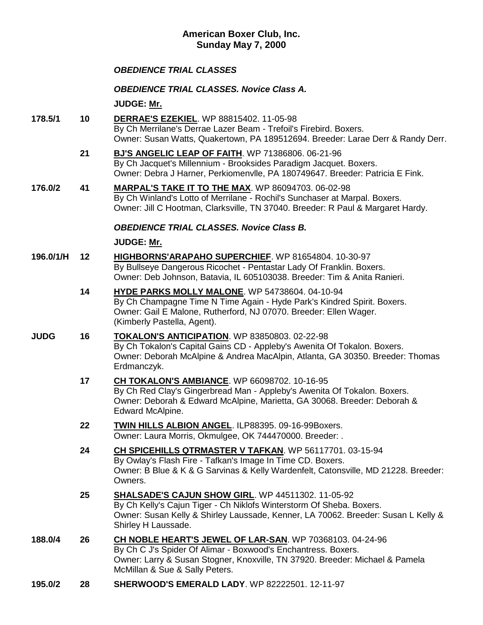# **American Boxer Club, Inc. Sunday May 7, 2000**

# *OBEDIENCE TRIAL CLASSES*

## *OBEDIENCE TRIAL CLASSES. Novice Class A.*

**JUDGE: [Mr.](http://www.infodog.com/show/judge/jdgprofile.htm?jn=)**

- **178.5/1 10 [DERRAE'S EZEKIEL](http://www.infodog.com/my/drlookup2.htm?makc=WP%2088815402&mdog=Derrae%27s+Ezekiel&wins=all)**. WP 88815402. 11-05-98 By Ch Merrilane's Derrae Lazer Beam - Trefoil's Firebird. Boxers. Owner: Susan Watts, Quakertown, PA 189512694. Breeder: Larae Derr & Randy Derr.
	- **21 [BJ'S ANGELIC LEAP OF FAITH](http://www.infodog.com/my/drlookup2.htm?makc=WP%2071386806&mdog=Bj%27s+Angelic+Leap+Of+Faith&wins=all)**. WP 71386806. 06-21-96 By Ch Jacquet's Millennium - Brooksides Paradigm Jacquet. Boxers. Owner: Debra J Harner, Perkiomenvlle, PA 180749647. Breeder: Patricia E Fink.
- **176.0/2 41 [MARPAL'S TAKE IT TO THE](http://www.infodog.com/my/drlookup2.htm?makc=WP%2086094703&mdog=Marpal%27s+Take+It+To+The+Max&wins=all) MAX**. WP 86094703. 06-02-98 By Ch Winland's Lotto of Merrilane - Rochil's Sunchaser at Marpal. Boxers. Owner: Jill C Hootman, Clarksville, TN 37040. Breeder: R Paul & Margaret Hardy.

## *OBEDIENCE TRIAL CLASSES. Novice Class B.*

#### **JUDGE: [Mr.](http://www.infodog.com/show/judge/jdgprofile.htm?jn=)**

- **196.0/1/H 12 [HIGHBORNS'ARAPAHO SUPERCHIEF](http://www.infodog.com/my/drlookup2.htm?makc=WP%2081654804&mdog=Highborns%27Arapaho+Superchief&wins=all)**. WP 81654804. 10-30-97 By Bullseye Dangerous Ricochet - Pentastar Lady Of Franklin. Boxers. Owner: Deb Johnson, Batavia, IL 605103038. Breeder: Tim & Anita Ranieri.
	- **14 [HYDE PARKS MOLLY MALONE](http://www.infodog.com/my/drlookup2.htm?makc=WP%2054738604&mdog=Hyde+Parks+Molly+Malone&wins=all)**. WP 54738604. 04-10-94 By Ch Champagne Time N Time Again - Hyde Park's Kindred Spirit. Boxers. Owner: Gail E Malone, Rutherford, NJ 07070. Breeder: Ellen Wager. (Kimberly Pastella, Agent).
- **JUDG 16 [TOKALON'S ANTICIPATION](http://www.infodog.com/my/drlookup2.htm?makc=WP%2083850803&mdog=Tokalon%27s+Anticipation&wins=all)**. WP 83850803. 02-22-98 By Ch Tokalon's Capital Gains CD - Appleby's Awenita Of Tokalon. Boxers. Owner: Deborah McAlpine & Andrea MacAlpin, Atlanta, GA 30350. Breeder: Thomas Erdmanczyk.
	- **17 [CH TOKALON'S AMBIANCE](http://www.infodog.com/my/drlookup2.htm?makc=WP%2066098702&mdog=Ch+Tokalon%27s+Ambiance&wins=all)**. WP 66098702. 10-16-95 By Ch Red Clay's Gingerbread Man - Appleby's Awenita Of Tokalon. Boxers. Owner: Deborah & Edward McAlpine, Marietta, GA 30068. Breeder: Deborah & Edward McAlpine.
	- **22 [TWIN HILLS ALBION ANGEL](http://www.infodog.com/my/drlookup2.htm?makc=ILP88395&mdog=Twin+Hills+Albion+Angel&wins=all)**. ILP88395. 09-16-99Boxers. Owner: Laura Morris, Okmulgee, OK 744470000. Breeder: .
	- **24 [CH SPICEHILLS QTRMASTER V TAFKAN](http://www.infodog.com/my/drlookup2.htm?makc=WP%2056117701&mdog=Ch+Spicehills+Qtrmaster+V+Tafkan&wins=all)**. WP 56117701. 03-15-94 By Owlay's Flash Fire - Tafkan's Image In Time CD. Boxers. Owner: B Blue & K & G Sarvinas & Kelly Wardenfelt, Catonsville, MD 21228. Breeder: Owners.
	- **25 [SHALSADE'S CAJUN SHOW GIRL](http://www.infodog.com/my/drlookup2.htm?makc=WP%2044511302&mdog=Shalsade%27s+Cajun+Show+Girl&wins=all)**. WP 44511302. 11-05-92 By Ch Kelly's Cajun Tiger - Ch Niklofs Winterstorm Of Sheba. Boxers. Owner: Susan Kelly & Shirley Laussade, Kenner, LA 70062. Breeder: Susan L Kelly & Shirley H Laussade.
- **188.0/4 26 [CH NOBLE HEART'S JEWEL OF LAR-SAN](http://www.infodog.com/my/drlookup2.htm?makc=WP%2070368103&mdog=Ch+Noble+Heart%27s+Jewel+Of+Lar-San&wins=all)**. WP 70368103. 04-24-96 By Ch C J's Spider Of Alimar - Boxwood's Enchantress. Boxers. Owner: Larry & Susan Stogner, Knoxville, TN 37920. Breeder: Michael & Pamela McMillan & Sue & Sally Peters.
- **195.0/2 28 [SHERWOOD'S EMERALD LADY](http://www.infodog.com/my/drlookup2.htm?makc=WP%2082222501&mdog=Sherwood%27s+Emerald+Lady&wins=all)**. WP 82222501. 12-11-97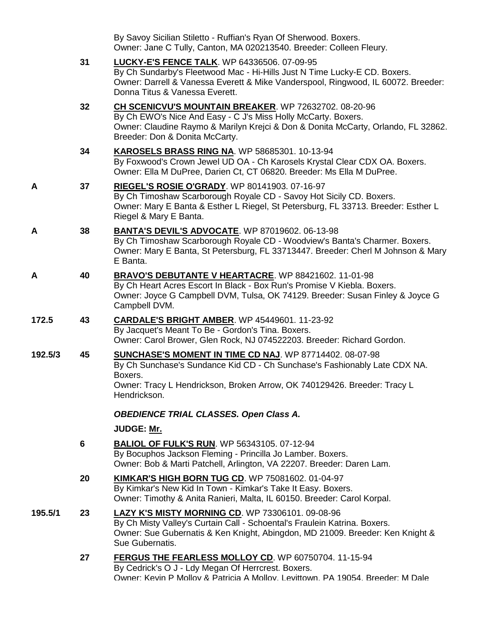|         |    | By Savoy Sicilian Stiletto - Ruffian's Ryan Of Sherwood. Boxers.<br>Owner: Jane C Tully, Canton, MA 020213540. Breeder: Colleen Fleury.                                                                                                                |
|---------|----|--------------------------------------------------------------------------------------------------------------------------------------------------------------------------------------------------------------------------------------------------------|
|         | 31 | <b>LUCKY-E'S FENCE TALK.</b> WP 64336506. 07-09-95<br>By Ch Sundarby's Fleetwood Mac - Hi-Hills Just N Time Lucky-E CD. Boxers.<br>Owner: Darrell & Vanessa Everett & Mike Vanderspool, Ringwood, IL 60072. Breeder:<br>Donna Titus & Vanessa Everett. |
|         | 32 | CH SCENICVU'S MOUNTAIN BREAKER. WP 72632702. 08-20-96<br>By Ch EWO's Nice And Easy - C J's Miss Holly McCarty. Boxers.<br>Owner: Claudine Raymo & Marilyn Krejci & Don & Donita McCarty, Orlando, FL 32862.<br>Breeder: Don & Donita McCarty.          |
|         | 34 | KAROSELS BRASS RING NA. WP 58685301. 10-13-94<br>By Foxwood's Crown Jewel UD OA - Ch Karosels Krystal Clear CDX OA. Boxers.<br>Owner: Ella M DuPree, Darien Ct, CT 06820. Breeder: Ms Ella M DuPree.                                                   |
| A       | 37 | RIEGEL'S ROSIE O'GRADY. WP 80141903. 07-16-97<br>By Ch Timoshaw Scarborough Royale CD - Savoy Hot Sicily CD. Boxers.<br>Owner: Mary E Banta & Esther L Riegel, St Petersburg, FL 33713. Breeder: Esther L<br>Riegel & Mary E Banta.                    |
| Α       | 38 | <b>BANTA'S DEVIL'S ADVOCATE.</b> WP 87019602. 06-13-98<br>By Ch Timoshaw Scarborough Royale CD - Woodview's Banta's Charmer. Boxers.<br>Owner: Mary E Banta, St Petersburg, FL 33713447. Breeder: Cherl M Johnson & Mary<br>E Banta.                   |
| Α       | 40 | <b>BRAVO'S DEBUTANTE V HEARTACRE.</b> WP 88421602. 11-01-98<br>By Ch Heart Acres Escort In Black - Box Run's Promise V Kiebla. Boxers.<br>Owner: Joyce G Campbell DVM, Tulsa, OK 74129. Breeder: Susan Finley & Joyce G<br>Campbell DVM.               |
| 172.5   | 43 | <b>CARDALE'S BRIGHT AMBER.</b> WP 45449601. 11-23-92<br>By Jacquet's Meant To Be - Gordon's Tina. Boxers.<br>Owner: Carol Brower, Glen Rock, NJ 074522203. Breeder: Richard Gordon.                                                                    |
| 192.5/3 | 45 | SUNCHASE'S MOMENT IN TIME CD NAJ. WP 87714402. 08-07-98<br>By Ch Sunchase's Sundance Kid CD - Ch Sunchase's Fashionably Late CDX NA.<br>Boxers.<br>Owner: Tracy L Hendrickson, Broken Arrow, OK 740129426. Breeder: Tracy L<br>Hendrickson.            |
|         |    | <b>OBEDIENCE TRIAL CLASSES. Open Class A.</b>                                                                                                                                                                                                          |
|         |    | JUDGE: Mr.                                                                                                                                                                                                                                             |
|         | 6  | <b>BALIOL OF FULK'S RUN. WP 56343105. 07-12-94</b><br>By Bocuphos Jackson Fleming - Princilla Jo Lamber. Boxers.<br>Owner: Bob & Marti Patchell, Arlington, VA 22207. Breeder: Daren Lam.                                                              |
|         | 20 | KIMKAR'S HIGH BORN TUG CD. WP 75081602. 01-04-97<br>By Kimkar's New Kid In Town - Kimkar's Take It Easy. Boxers.<br>Owner: Timothy & Anita Ranieri, Malta, IL 60150. Breeder: Carol Korpal.                                                            |
| 195.5/1 | 23 | <b>LAZY K'S MISTY MORNING CD. WP 73306101. 09-08-96</b><br>By Ch Misty Valley's Curtain Call - Schoental's Fraulein Katrina. Boxers.<br>Owner: Sue Gubernatis & Ken Knight, Abingdon, MD 21009. Breeder: Ken Knight &<br>Sue Gubernatis.               |
|         | 27 | FERGUS THE FEARLESS MOLLOY CD. WP 60750704. 11-15-94<br>By Cedrick's O J - Ldy Megan Of Herrcrest. Boxers.<br>Owner: Kevin P Mollov & Patricia A Mollov, Levittown, PA 19054, Breeder: M Dale                                                          |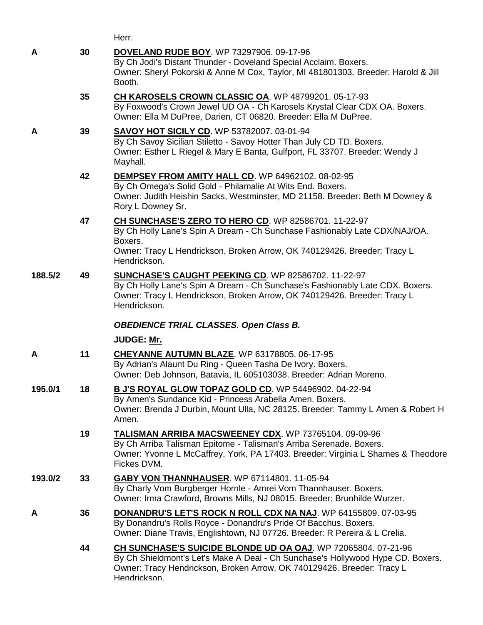|         |    | Herr.                                                                                                                                                                                                                                      |
|---------|----|--------------------------------------------------------------------------------------------------------------------------------------------------------------------------------------------------------------------------------------------|
| A       | 30 | <b>DOVELAND RUDE BOY.</b> WP 73297906. 09-17-96<br>By Ch Jodi's Distant Thunder - Doveland Special Acclaim. Boxers.<br>Owner: Sheryl Pokorski & Anne M Cox, Taylor, MI 481801303. Breeder: Harold & Jill<br>Booth.                         |
|         | 35 | CH KAROSELS CROWN CLASSIC OA. WP 48799201. 05-17-93<br>By Foxwood's Crown Jewel UD OA - Ch Karosels Krystal Clear CDX OA. Boxers.<br>Owner: Ella M DuPree, Darien, CT 06820. Breeder: Ella M DuPree.                                       |
| A       | 39 | <b>SAVOY HOT SICILY CD. WP 53782007. 03-01-94</b><br>By Ch Savoy Sicilian Stiletto - Savoy Hotter Than July CD TD. Boxers.<br>Owner: Esther L Riegel & Mary E Banta, Gulfport, FL 33707. Breeder: Wendy J<br>Mayhall.                      |
|         | 42 | DEMPSEY FROM AMITY HALL CD. WP 64962102. 08-02-95<br>By Ch Omega's Solid Gold - Philamalie At Wits End. Boxers.<br>Owner: Judith Heishin Sacks, Westminster, MD 21158. Breeder: Beth M Downey &<br>Rory L Downey Sr.                       |
|         | 47 | CH SUNCHASE'S ZERO TO HERO CD. WP 82586701. 11-22-97<br>By Ch Holly Lane's Spin A Dream - Ch Sunchase Fashionably Late CDX/NAJ/OA.<br>Boxers.<br>Owner: Tracy L Hendrickson, Broken Arrow, OK 740129426. Breeder: Tracy L<br>Hendrickson.  |
| 188.5/2 | 49 | SUNCHASE'S CAUGHT PEEKING CD. WP 82586702. 11-22-97<br>By Ch Holly Lane's Spin A Dream - Ch Sunchase's Fashionably Late CDX. Boxers.<br>Owner: Tracy L Hendrickson, Broken Arrow, OK 740129426. Breeder: Tracy L<br>Hendrickson.           |
|         |    | <b>OBEDIENCE TRIAL CLASSES. Open Class B.</b>                                                                                                                                                                                              |
|         |    | JUDGE: Mr.                                                                                                                                                                                                                                 |
| A       | 11 | <b>CHEYANNE AUTUMN BLAZE. WP 63178805. 06-17-95</b><br>By Adrian's Alaunt Du Ring - Queen Tasha De Ivory. Boxers.<br>Owner: Deb Johnson, Batavia, IL 605103038. Breeder: Adrian Moreno.                                                    |
| 195.0/1 | 18 | B J'S ROYAL GLOW TOPAZ GOLD CD. WP 54496902. 04-22-94<br>By Amen's Sundance Kid - Princess Arabella Amen. Boxers.<br>Owner: Brenda J Durbin, Mount Ulla, NC 28125. Breeder: Tammy L Amen & Robert H<br>Amen.                               |
|         | 19 | <b>TALISMAN ARRIBA MACSWEENEY CDX.</b> WP 73765104. 09-09-96<br>By Ch Arriba Talisman Epitome - Talisman's Arriba Serenade. Boxers.<br>Owner: Yvonne L McCaffrey, York, PA 17403. Breeder: Virginia L Shames & Theodore<br>Fickes DVM.     |
| 193.0/2 | 33 | GABY VON THANNHAUSER. WP 67114801. 11-05-94<br>By Charly Vom Burgberger Hornle - Amrei Vom Thannhauser. Boxers.<br>Owner: Irma Crawford, Browns Mills, NJ 08015. Breeder: Brunhilde Wurzer.                                                |
| A       | 36 | <b>DONANDRU'S LET'S ROCK N ROLL CDX NA NAJ.</b> WP 64155809. 07-03-95<br>By Donandru's Rolls Royce - Donandru's Pride Of Bacchus. Boxers.<br>Owner: Diane Travis, Englishtown, NJ 07726. Breeder: R Pereira & L Crelia.                    |
|         | 44 | CH SUNCHASE'S SUICIDE BLONDE UD OA OAJ. WP 72065804. 07-21-96<br>By Ch Shieldmont's Let's Make A Deal - Ch Sunchase's Hollywood Hype CD. Boxers.<br>Owner: Tracy Hendrickson, Broken Arrow, OK 740129426. Breeder: Tracy L<br>Hendrickson. |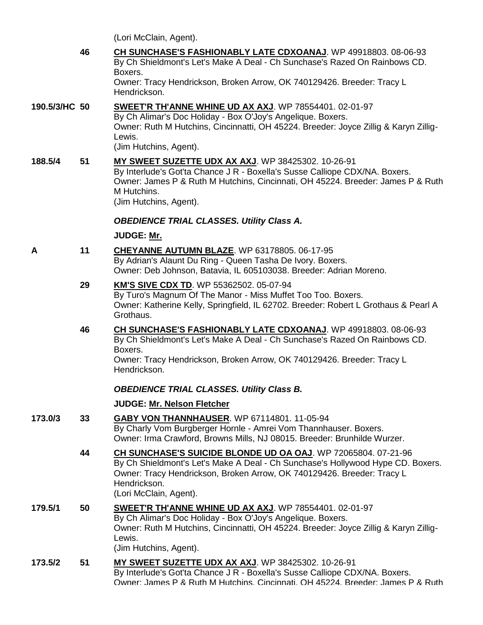(Lori McClain, Agent).

**46 [CH SUNCHASE'S FASHIONABLY LATE CDXOANAJ](http://www.infodog.com/my/drlookup2.htm?makc=WP%2049918803&mdog=Ch+Sunchase%27s+Fashionably+Late+CDXOANAJ&wins=all)**. WP 49918803. 08-06-93 By Ch Shieldmont's Let's Make A Deal - Ch Sunchase's Razed On Rainbows CD. Boxers. Owner: Tracy Hendrickson, Broken Arrow, OK 740129426. Breeder: Tracy L Hendrickson.

# **190.5/3/HC 50 [SWEET'R TH'ANNE WHINE UD AX AXJ](http://www.infodog.com/my/drlookup2.htm?makc=WP%2078554401&mdog=Sweet%27r+Th%27Anne+Whine+UD+AX+AXJ&wins=all)**. WP 78554401. 02-01-97

By Ch Alimar's Doc Holiday - Box O'Joy's Angelique. Boxers. Owner: Ruth M Hutchins, Cincinnatti, OH 45224. Breeder: Joyce Zillig & Karyn Zillig-Lewis. (Jim Hutchins, Agent).

**188.5/4 51 [MY SWEET SUZETTE UDX AX AXJ](http://www.infodog.com/my/drlookup2.htm?makc=WP%2038425302&mdog=My+Sweet+Suzette+UDX+AX+AXJ&wins=all)**. WP 38425302. 10-26-91 By Interlude's Got'ta Chance J R - Boxella's Susse Calliope CDX/NA. Boxers. Owner: James P & Ruth M Hutchins, Cincinnati, OH 45224. Breeder: James P & Ruth M Hutchins. (Jim Hutchins, Agent).

#### *OBEDIENCE TRIAL CLASSES. Utility Class A.*

#### **JUDGE: [Mr.](http://www.infodog.com/show/judge/jdgprofile.htm?jn=)**

- **A 11 [CHEYANNE AUTUMN BLAZE](http://www.infodog.com/my/drlookup2.htm?makc=WP%2063178805&mdog=Cheyanne+Autumn+Blaze&wins=all)**. WP 63178805. 06-17-95 By Adrian's Alaunt Du Ring - Queen Tasha De Ivory. Boxers. Owner: Deb Johnson, Batavia, IL 605103038. Breeder: Adrian Moreno.
	- **29 [KM'S SIVE CDX TD](http://www.infodog.com/my/drlookup2.htm?makc=WP%2055362502&mdog=KM%27s+Sive+CDX+TD&wins=all)**. WP 55362502. 05-07-94 By Turo's Magnum Of The Manor - Miss Muffet Too Too. Boxers. Owner: Katherine Kelly, Springfield, IL 62702. Breeder: Robert L Grothaus & Pearl A Grothaus.
	- **46 [CH SUNCHASE'S FASHIONABLY LATE CDXOANAJ](http://www.infodog.com/my/drlookup2.htm?makc=WP%2049918803&mdog=Ch+Sunchase%27s+Fashionably+Late+CDXOANAJ&wins=all)**. WP 49918803. 08-06-93 By Ch Shieldmont's Let's Make A Deal - Ch Sunchase's Razed On Rainbows CD. Boxers. Owner: Tracy Hendrickson, Broken Arrow, OK 740129426. Breeder: Tracy L Hendrickson.

## *OBEDIENCE TRIAL CLASSES. Utility Class B.*

- **173.0/3 33 [GABY VON THANNHAUSER](http://www.infodog.com/my/drlookup2.htm?makc=WP%2067114801&mdog=Gaby+Von+Thannhauser&wins=all)**. WP 67114801. 11-05-94 By Charly Vom Burgberger Hornle - Amrei Vom Thannhauser. Boxers. Owner: Irma Crawford, Browns Mills, NJ 08015. Breeder: Brunhilde Wurzer. **44 [CH SUNCHASE'S SUICIDE BLONDE UD OA OAJ](http://www.infodog.com/my/drlookup2.htm?makc=WP%2072065804&mdog=Ch+Sunchase%27s+Suicide+Blonde+UD+OA+OAJ&wins=all)**. WP 72065804. 07-21-96
	- By Ch Shieldmont's Let's Make A Deal Ch Sunchase's Hollywood Hype CD. Boxers. Owner: Tracy Hendrickson, Broken Arrow, OK 740129426. Breeder: Tracy L Hendrickson. (Lori McClain, Agent).
- **179.5/1 50 [SWEET'R TH'ANNE WHINE UD AX AXJ](http://www.infodog.com/my/drlookup2.htm?makc=WP%2078554401&mdog=Sweet%27r+Th%27Anne+Whine+UD+AX+AXJ&wins=all)**. WP 78554401. 02-01-97 By Ch Alimar's Doc Holiday - Box O'Joy's Angelique. Boxers. Owner: Ruth M Hutchins, Cincinnatti, OH 45224. Breeder: Joyce Zillig & Karyn Zillig-Lewis. (Jim Hutchins, Agent).
- **173.5/2 51 [MY SWEET SUZETTE UDX AX AXJ](http://www.infodog.com/my/drlookup2.htm?makc=WP%2038425302&mdog=My+Sweet+Suzette+UDX+AX+AXJ&wins=all)**. WP 38425302. 10-26-91 By Interlude's Got'ta Chance J R - Boxella's Susse Calliope CDX/NA. Boxers. Owner: James P & Ruth M Hutchins, Cincinnati, OH 45224. Breeder: James P & Ruth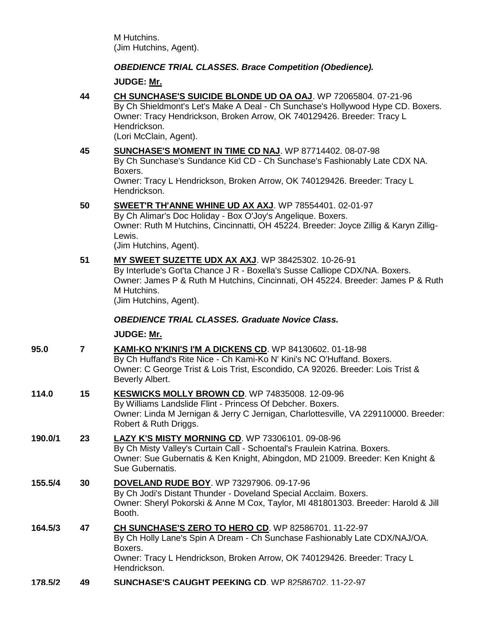M Hutchins. (Jim Hutchins, Agent).

# *OBEDIENCE TRIAL CLASSES. Brace Competition (Obedience).*

# **JUDGE: [Mr.](http://www.infodog.com/show/judge/jdgprofile.htm?jn=)**

| 44 | CH SUNCHASE'S SUICIDE BLONDE UD OA OAJ. WP 72065804. 07-21-96                   |  |  |  |  |
|----|---------------------------------------------------------------------------------|--|--|--|--|
|    | By Ch Shieldmont's Let's Make A Deal - Ch Sunchase's Hollywood Hype CD. Boxers. |  |  |  |  |
|    | Owner: Tracy Hendrickson, Broken Arrow, OK 740129426. Breeder: Tracy L          |  |  |  |  |
|    | Hendrickson.                                                                    |  |  |  |  |
|    | $\ln$ ori McClain Agant)                                                        |  |  |  |  |

(Lori McClain, Agent).

|         | 45                      | <b>SUNCHASE'S MOMENT IN TIME CD NAJ.</b> WP 87714402. 08-07-98<br>By Ch Sunchase's Sundance Kid CD - Ch Sunchase's Fashionably Late CDX NA.<br>Boxers.<br>Owner: Tracy L Hendrickson, Broken Arrow, OK 740129426. Breeder: Tracy L<br>Hendrickson.            |
|---------|-------------------------|---------------------------------------------------------------------------------------------------------------------------------------------------------------------------------------------------------------------------------------------------------------|
|         | 50                      | SWEET'R TH'ANNE WHINE UD AX AXJ. WP 78554401. 02-01-97<br>By Ch Alimar's Doc Holiday - Box O'Joy's Angelique. Boxers.<br>Owner: Ruth M Hutchins, Cincinnatti, OH 45224. Breeder: Joyce Zillig & Karyn Zillig-<br>Lewis.<br>(Jim Hutchins, Agent).             |
|         | 51                      | MY SWEET SUZETTE UDX AX AXJ. WP 38425302. 10-26-91<br>By Interlude's Got'ta Chance J R - Boxella's Susse Calliope CDX/NA. Boxers.<br>Owner: James P & Ruth M Hutchins, Cincinnati, OH 45224. Breeder: James P & Ruth<br>M Hutchins.<br>(Jim Hutchins, Agent). |
|         |                         | <b>OBEDIENCE TRIAL CLASSES. Graduate Novice Class.</b>                                                                                                                                                                                                        |
|         |                         | JUDGE: Mr.                                                                                                                                                                                                                                                    |
| 95.0    | $\overline{\mathbf{r}}$ | <b>KAMI-KO N'KINI'S I'M A DICKENS CD.</b> WP 84130602. 01-18-98<br>By Ch Huffand's Rite Nice - Ch Kami-Ko N' Kini's NC O'Huffand. Boxers.<br>Owner: C George Trist & Lois Trist, Escondido, CA 92026. Breeder: Lois Trist &<br>Beverly Albert.                |
| 114.0   | 15                      | KESWICKS MOLLY BROWN CD. WP 74835008. 12-09-96<br>By Williams Landslide Flint - Princess Of Debcher. Boxers.<br>Owner: Linda M Jernigan & Jerry C Jernigan, Charlottesville, VA 229110000. Breeder:<br>Robert & Ruth Driggs.                                  |
| 190.0/1 | 23                      | LAZY K'S MISTY MORNING CD. WP 73306101. 09-08-96<br>By Ch Misty Valley's Curtain Call - Schoental's Fraulein Katrina. Boxers.<br>Owner: Sue Gubernatis & Ken Knight, Abingdon, MD 21009. Breeder: Ken Knight &<br>Sue Gubernatis.                             |
| 155.5/4 | 30                      | <b>DOVELAND RUDE BOY.</b> WP 73297906. 09-17-96<br>By Ch Jodi's Distant Thunder - Doveland Special Acclaim. Boxers.<br>Owner: Sheryl Pokorski & Anne M Cox, Taylor, MI 481801303. Breeder: Harold & Jill<br>Booth.                                            |
| 164.5/3 | 47                      | CH SUNCHASE'S ZERO TO HERO CD. WP 82586701. 11-22-97<br>By Ch Holly Lane's Spin A Dream - Ch Sunchase Fashionably Late CDX/NAJ/OA.<br>Boxers.<br>Owner: Tracy L Hendrickson, Broken Arrow, OK 740129426. Breeder: Tracy L<br>Hendrickson.                     |

**178.5/2 49 [SUNCHASE'S CAUGHT PEEKING CD](http://www.infodog.com/my/drlookup2.htm?makc=WP%2082586702&mdog=Sunchase%27s+Caught+Peeking+CD&wins=all)**. WP 82586702. 11-22-97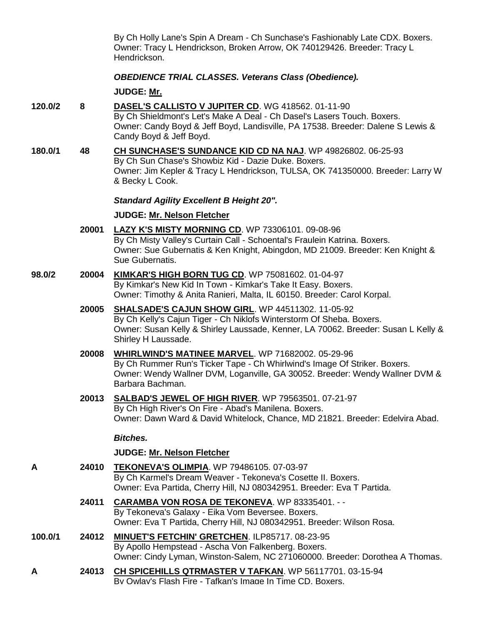By Ch Holly Lane's Spin A Dream - Ch Sunchase's Fashionably Late CDX. Boxers. Owner: Tracy L Hendrickson, Broken Arrow, OK 740129426. Breeder: Tracy L Hendrickson.

## *OBEDIENCE TRIAL CLASSES. Veterans Class (Obedience).*

#### **JUDGE: [Mr.](http://www.infodog.com/show/judge/jdgprofile.htm?jn=)**

- **120.0/2 8 [DASEL'S CALLISTO V JUPITER CD](http://www.infodog.com/my/drlookup2.htm?makc=WG%20418562&mdog=Dasel%27s+Callisto+V+Jupiter+CD&wins=all)**. WG 418562. 01-11-90 By Ch Shieldmont's Let's Make A Deal - Ch Dasel's Lasers Touch. Boxers. Owner: Candy Boyd & Jeff Boyd, Landisville, PA 17538. Breeder: Dalene S Lewis & Candy Boyd & Jeff Boyd.
- **180.0/1 48 [CH SUNCHASE'S SUNDANCE KID CD NA NAJ](http://www.infodog.com/my/drlookup2.htm?makc=WP%2049826802&mdog=Ch+Sunchase%27s+Sundance+Kid+CD+NA+NAJ&wins=all)**. WP 49826802. 06-25-93 By Ch Sun Chase's Showbiz Kid - Dazie Duke. Boxers. Owner: Jim Kepler & Tracy L Hendrickson, TULSA, OK 741350000. Breeder: Larry W & Becky L Cook.

#### *Standard Agility Excellent B Height 20".*

#### **JUDGE: [Mr. Nelson Fletcher](http://www.infodog.com/show/judge/jdgprofile.htm?jn=9014)**

- **20001 [LAZY K'S MISTY MORNING CD](http://www.infodog.com/my/drlookup2.htm?makc=WP%2073306101&mdog=Lazy+K%27s+Misty+Morning+CD&wins=all)**. WP 73306101. 09-08-96 By Ch Misty Valley's Curtain Call - Schoental's Fraulein Katrina. Boxers. Owner: Sue Gubernatis & Ken Knight, Abingdon, MD 21009. Breeder: Ken Knight & Sue Gubernatis.
- **98.0/2 20004 [KIMKAR'S HIGH BORN TUG CD](http://www.infodog.com/my/drlookup2.htm?makc=WP%2075081602&mdog=Kimkar%27s+High+Born+Tug+CD&wins=all)**. WP 75081602. 01-04-97 By Kimkar's New Kid In Town - Kimkar's Take It Easy. Boxers. Owner: Timothy & Anita Ranieri, Malta, IL 60150. Breeder: Carol Korpal.

# **20005 [SHALSADE'S CAJUN SHOW GIRL](http://www.infodog.com/my/drlookup2.htm?makc=WP%2044511302&mdog=Shalsade%27s+Cajun+Show+Girl&wins=all)**. WP 44511302. 11-05-92 By Ch Kelly's Cajun Tiger - Ch Niklofs Winterstorm Of Sheba. Boxers.

Owner: Susan Kelly & Shirley Laussade, Kenner, LA 70062. Breeder: Susan L Kelly & Shirley H Laussade.

- **20008 [WHIRLWIND'S MATINEE MARVEL](http://www.infodog.com/my/drlookup2.htm?makc=WP%2071682002&mdog=Whirlwind%27s+Matinee+Marvel&wins=all)**. WP 71682002. 05-29-96 By Ch Rummer Run's Ticker Tape - Ch Whirlwind's Image Of Striker. Boxers. Owner: Wendy Wallner DVM, Loganville, GA 30052. Breeder: Wendy Wallner DVM & Barbara Bachman.
- **20013 [SALBAD'S JEWEL OF HIGH RIVER](http://www.infodog.com/my/drlookup2.htm?makc=WP%2079563501&mdog=Salbad%27s+Jewel+Of+High+River&wins=all)**. WP 79563501. 07-21-97 By Ch High River's On Fire - Abad's Manilena. Boxers. Owner: Dawn Ward & David Whitelock, Chance, MD 21821. Breeder: Edelvira Abad.

## *Bitches.*

- **A 24010 [TEKONEVA'S OLIMPIA](http://www.infodog.com/my/drlookup2.htm?makc=WP%2079486105&mdog=Tekoneva%27s+Olimpia&wins=all)**. WP 79486105. 07-03-97 By Ch Karmel's Dream Weaver - Tekoneva's Cosette II. Boxers. Owner: Eva Partida, Cherry Hill, NJ 080342951. Breeder: Eva T Partida.
	- **24011 [CARAMBA VON ROSA DE TEKONEVA](http://www.infodog.com/my/drlookup2.htm?makc=WP%2083335401&mdog=Caramba+Von+Rosa+De+Tekoneva&wins=all)**. WP 83335401. - By Tekoneva's Galaxy - Eika Vom Beversee. Boxers. Owner: Eva T Partida, Cherry Hill, NJ 080342951. Breeder: Wilson Rosa.
- **100.0/1 24012 [MINUET'S FETCHIN' GRETCHEN](http://www.infodog.com/my/drlookup2.htm?makc=ILP85717&mdog=Minuet%27s+Fetchin%27+Gretchen&wins=all)**. ILP85717. 08-23-95 By Apollo Hempstead - Ascha Von Falkenberg. Boxers. Owner: Cindy Lyman, Winston-Salem, NC 271060000. Breeder: Dorothea A Thomas.
- **A 24013 [CH SPICEHILLS QTRMASTER V TAFKAN](http://www.infodog.com/my/drlookup2.htm?makc=WP%2056117701&mdog=Ch+Spicehills+Qtrmaster+V+Tafkan&wins=all)**. WP 56117701. 03-15-94 By Owlay's Flash Fire - Tafkan's Image In Time CD. Boxers.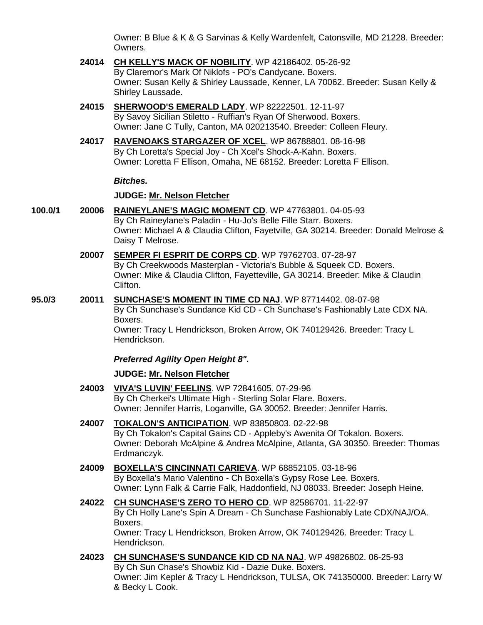Owner: B Blue & K & G Sarvinas & Kelly Wardenfelt, Catonsville, MD 21228. Breeder: Owners.

- **24014 [CH KELLY'S MACK OF NOBILITY](http://www.infodog.com/my/drlookup2.htm?makc=WP%2042186402&mdog=Ch+Kelly%27s+Mack+Of+Nobility&wins=all)**. WP 42186402. 05-26-92 By Claremor's Mark Of Niklofs - PO's Candycane. Boxers. Owner: Susan Kelly & Shirley Laussade, Kenner, LA 70062. Breeder: Susan Kelly & Shirley Laussade.
- **24015 [SHERWOOD'S EMERALD LADY](http://www.infodog.com/my/drlookup2.htm?makc=WP%2082222501&mdog=Sherwood%27s+Emerald+Lady&wins=all)**. WP 82222501. 12-11-97 By Savoy Sicilian Stiletto - Ruffian's Ryan Of Sherwood. Boxers. Owner: Jane C Tully, Canton, MA 020213540. Breeder: Colleen Fleury.
- **24017 [RAVENOAKS STARGAZER OF XCEL](http://www.infodog.com/my/drlookup2.htm?makc=WP%2086788801&mdog=Ravenoaks+Stargazer+Of+Xcel&wins=all)**. WP 86788801. 08-16-98 By Ch Loretta's Special Joy - Ch Xcel's Shock-A-Kahn. Boxers. Owner: Loretta F Ellison, Omaha, NE 68152. Breeder: Loretta F Ellison.

#### *Bitches.*

#### **JUDGE: [Mr. Nelson Fletcher](http://www.infodog.com/show/judge/jdgprofile.htm?jn=9014)**

- **100.0/1 20006 [RAINEYLANE'S MAGIC MOMENT CD](http://www.infodog.com/my/drlookup2.htm?makc=WP%2047763801&mdog=Raineylane%27s+Magic+Moment+CD&wins=all)**. WP 47763801. 04-05-93 By Ch Raineylane's Paladin - Hu-Jo's Belle Fille Starr. Boxers. Owner: Michael A & Claudia Clifton, Fayetville, GA 30214. Breeder: Donald Melrose & Daisy T Melrose.
	- **20007 [SEMPER FI ESPRIT DE CORPS CD](http://www.infodog.com/my/drlookup2.htm?makc=WP%2079762703&mdog=Semper+Fi+Esprit+de+Corps+CD&wins=all)**. WP 79762703. 07-28-97 By Ch Creekwoods Masterplan - Victoria's Bubble & Squeek CD. Boxers. Owner: Mike & Claudia Clifton, Fayetteville, GA 30214. Breeder: Mike & Claudin Clifton.
- **95.0/3 20011 [SUNCHASE'S MOMENT IN TIME CD NAJ](http://www.infodog.com/my/drlookup2.htm?makc=WP%2087714402&mdog=Sunchase%27s+Moment+In+Time+CD+NAJ&wins=all)**. WP 87714402. 08-07-98 By Ch Sunchase's Sundance Kid CD - Ch Sunchase's Fashionably Late CDX NA. Boxers. Owner: Tracy L Hendrickson, Broken Arrow, OK 740129426. Breeder: Tracy L Hendrickson.

#### *Preferred Agility Open Height 8".*

- **24003 [VIVA'S LUVIN' FEELINS](http://www.infodog.com/my/drlookup2.htm?makc=WP%2072841605&mdog=Viva%27s+Luvin%27+Feelins&wins=all)**. WP 72841605. 07-29-96 By Ch Cherkei's Ultimate High - Sterling Solar Flare. Boxers. Owner: Jennifer Harris, Loganville, GA 30052. Breeder: Jennifer Harris.
- **24007 [TOKALON'S ANTICIPATION](http://www.infodog.com/my/drlookup2.htm?makc=WP%2083850803&mdog=Tokalon%27s+Anticipation&wins=all)**. WP 83850803. 02-22-98 By Ch Tokalon's Capital Gains CD - Appleby's Awenita Of Tokalon. Boxers. Owner: Deborah McAlpine & Andrea McAlpine, Atlanta, GA 30350. Breeder: Thomas Erdmanczyk.
- **24009 [BOXELLA'S CINCINNATI CARIEVA](http://www.infodog.com/my/drlookup2.htm?makc=WP%2068852105&mdog=Boxella%27s+Cincinnati+Carieva&wins=all)**. WP 68852105. 03-18-96 By Boxella's Mario Valentino - Ch Boxella's Gypsy Rose Lee. Boxers. Owner: Lynn Falk & Carrie Falk, Haddonfield, NJ 08033. Breeder: Joseph Heine.
- **24022 [CH SUNCHASE'S ZERO TO HERO CD](http://www.infodog.com/my/drlookup2.htm?makc=WP%2082586701&mdog=Ch+Sunchase%27s+Zero+To+Hero+CD&wins=all)**. WP 82586701. 11-22-97 By Ch Holly Lane's Spin A Dream - Ch Sunchase Fashionably Late CDX/NAJ/OA. Boxers. Owner: Tracy L Hendrickson, Broken Arrow, OK 740129426. Breeder: Tracy L Hendrickson.
- **24023 [CH SUNCHASE'S SUNDANCE KID CD NA NAJ](http://www.infodog.com/my/drlookup2.htm?makc=WP%2049826802&mdog=Ch+Sunchase%27s+Sundance+Kid+CD+NA+NAJ&wins=all)**. WP 49826802. 06-25-93 By Ch Sun Chase's Showbiz Kid - Dazie Duke. Boxers. Owner: Jim Kepler & Tracy L Hendrickson, TULSA, OK 741350000. Breeder: Larry W & Becky L Cook.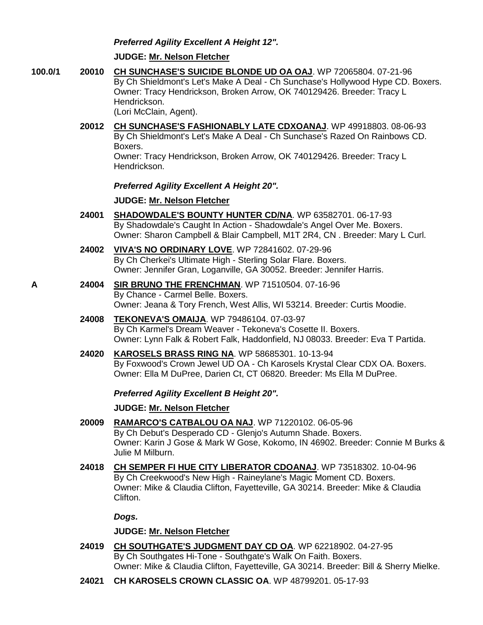## *Preferred Agility Excellent A Height 12".*

#### **JUDGE: [Mr. Nelson Fletcher](http://www.infodog.com/show/judge/jdgprofile.htm?jn=9014)**

- **100.0/1 20010 [CH SUNCHASE'S SUICIDE BLONDE UD OA OAJ](http://www.infodog.com/my/drlookup2.htm?makc=WP%2072065804&mdog=Ch+Sunchase%27s+Suicide+Blonde+UD+OA+OAJ&wins=all)**. WP 72065804. 07-21-96 By Ch Shieldmont's Let's Make A Deal - Ch Sunchase's Hollywood Hype CD. Boxers. Owner: Tracy Hendrickson, Broken Arrow, OK 740129426. Breeder: Tracy L Hendrickson. (Lori McClain, Agent).
	- **20012 [CH SUNCHASE'S FASHIONABLY LATE CDXOANAJ](http://www.infodog.com/my/drlookup2.htm?makc=WP%2049918803&mdog=Ch+Sunchase%27s+Fashionably+Late+CDXOANAJ&wins=all)**. WP 49918803. 08-06-93 By Ch Shieldmont's Let's Make A Deal - Ch Sunchase's Razed On Rainbows CD. Boxers. Owner: Tracy Hendrickson, Broken Arrow, OK 740129426. Breeder: Tracy L Hendrickson.

*Preferred Agility Excellent A Height 20".*

## **JUDGE: [Mr. Nelson Fletcher](http://www.infodog.com/show/judge/jdgprofile.htm?jn=9014)**

- **24001 [SHADOWDALE'S BOUNTY HUNTER CD/NA](http://www.infodog.com/my/drlookup2.htm?makc=WP%2063582701&mdog=Shadowdale%27s+Bounty+Hunter+CD/NA&wins=all)**. WP 63582701. 06-17-93 By Shadowdale's Caught In Action - Shadowdale's Angel Over Me. Boxers. Owner: Sharon Campbell & Blair Campbell, M1T 2R4, CN . Breeder: Mary L Curl.
- **24002 [VIVA'S NO ORDINARY LOVE](http://www.infodog.com/my/drlookup2.htm?makc=WP%2072841602&mdog=Viva%27s+No+Ordinary+Love&wins=all)**. WP 72841602. 07-29-96 By Ch Cherkei's Ultimate High - Sterling Solar Flare. Boxers. Owner: Jennifer Gran, Loganville, GA 30052. Breeder: Jennifer Harris.
- **A 24004 [SIR BRUNO THE FRENCHMAN](http://www.infodog.com/my/drlookup2.htm?makc=WP%2071510504&mdog=Sir+Bruno+The+Frenchman&wins=all)**. WP 71510504. 07-16-96 By Chance - Carmel Belle. Boxers. Owner: Jeana & Tory French, West Allis, WI 53214. Breeder: Curtis Moodie.
	- **24008 [TEKONEVA'S OMAIJA](http://www.infodog.com/my/drlookup2.htm?makc=WP%2079486104&mdog=Tekoneva%27s+Omaija&wins=all)**. WP 79486104. 07-03-97 By Ch Karmel's Dream Weaver - Tekoneva's Cosette II. Boxers. Owner: Lynn Falk & Robert Falk, Haddonfield, NJ 08033. Breeder: Eva T Partida.
	- **24020 [KAROSELS BRASS RING NA](http://www.infodog.com/my/drlookup2.htm?makc=WP%2058685301&mdog=Karosels+Brass+Ring+NA&wins=all)**. WP 58685301. 10-13-94 By Foxwood's Crown Jewel UD OA - Ch Karosels Krystal Clear CDX OA. Boxers. Owner: Ella M DuPree, Darien Ct, CT 06820. Breeder: Ms Ella M DuPree.

## *Preferred Agility Excellent B Height 20".*

## **JUDGE: [Mr. Nelson Fletcher](http://www.infodog.com/show/judge/jdgprofile.htm?jn=9014)**

- **20009 [RAMARCO'S CATBALOU OA NAJ](http://www.infodog.com/my/drlookup2.htm?makc=WP%2071220102&mdog=Ramarco%27s+Catbalou+OA+NAJ&wins=all)**. WP 71220102. 06-05-96 By Ch Debut's Desperado CD - Glenjo's Autumn Shade. Boxers. Owner: Karin J Gose & Mark W Gose, Kokomo, IN 46902. Breeder: Connie M Burks & Julie M Milburn.
- **24018 [CH SEMPER FI HUE CITY LIBERATOR CDOANAJ](http://www.infodog.com/my/drlookup2.htm?makc=WP%2073518302&mdog=Ch+Semper+Fi+Hue+City+Liberator+CDOANAJ&wins=all)**. WP 73518302. 10-04-96 By Ch Creekwood's New High - Raineylane's Magic Moment CD. Boxers. Owner: Mike & Claudia Clifton, Fayetteville, GA 30214. Breeder: Mike & Claudia Clifton.

## *Dogs.*

- **24019 [CH SOUTHGATE'S JUDGMENT DAY CD OA](http://www.infodog.com/my/drlookup2.htm?makc=WP%2062218902&mdog=Ch+Southgate%27s+Judgment+Day+CD+OA&wins=all)**. WP 62218902. 04-27-95 By Ch Southgates Hi-Tone - Southgate's Walk On Faith. Boxers. Owner: Mike & Claudia Clifton, Fayetteville, GA 30214. Breeder: Bill & Sherry Mielke.
- **24021 [CH KAROSELS CROWN CLASSIC OA](http://www.infodog.com/my/drlookup2.htm?makc=WP%2048799201&mdog=Ch+Karosels+Crown+Classic+OA&wins=all)**. WP 48799201. 05-17-93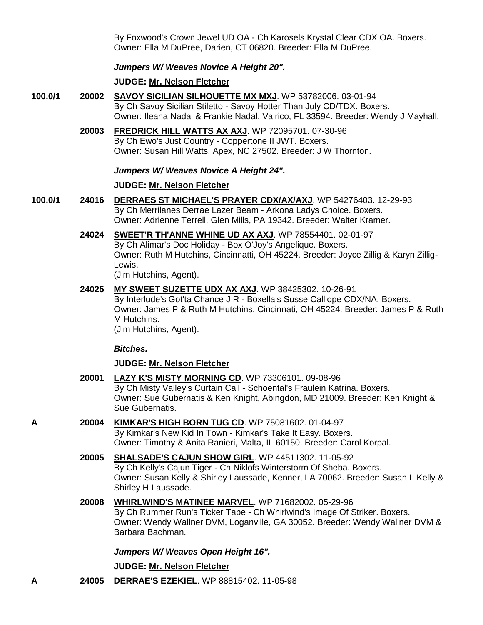By Foxwood's Crown Jewel UD OA - Ch Karosels Krystal Clear CDX OA. Boxers. Owner: Ella M DuPree, Darien, CT 06820. Breeder: Ella M DuPree.

#### *Jumpers W/ Weaves Novice A Height 20".*

#### **JUDGE: [Mr. Nelson Fletcher](http://www.infodog.com/show/judge/jdgprofile.htm?jn=9014)**

- **100.0/1 20002 [SAVOY SICILIAN SILHOUETTE MX MXJ](http://www.infodog.com/my/drlookup2.htm?makc=WP%2053782006&mdog=Savoy+Sicilian+Silhouette+MX+MXJ&wins=all)**. WP 53782006. 03-01-94 By Ch Savoy Sicilian Stiletto - Savoy Hotter Than July CD/TDX. Boxers. Owner: Ileana Nadal & Frankie Nadal, Valrico, FL 33594. Breeder: Wendy J Mayhall.
	- **20003 [FREDRICK HILL WATTS AX AXJ](http://www.infodog.com/my/drlookup2.htm?makc=WP%2072095701&mdog=Fredrick+Hill+Watts+AX+AXJ&wins=all)**. WP 72095701. 07-30-96 By Ch Ewo's Just Country - Coppertone II JWT. Boxers. Owner: Susan Hill Watts, Apex, NC 27502. Breeder: J W Thornton.

#### *Jumpers W/ Weaves Novice A Height 24".*

#### **JUDGE: [Mr. Nelson Fletcher](http://www.infodog.com/show/judge/jdgprofile.htm?jn=9014)**

- **100.0/1 24016 [DERRAES ST MICHAEL'S PRAYER CDX/AX/AXJ](http://www.infodog.com/my/drlookup2.htm?makc=WP%2054276403&mdog=Derraes+St+Michael%27s+Prayer+CDX/AX/AXJ&wins=all)**. WP 54276403. 12-29-93 By Ch Merrilanes Derrae Lazer Beam - Arkona Ladys Choice. Boxers. Owner: Adrienne Terrell, Glen Mills, PA 19342. Breeder: Walter Kramer.
	- **24024 [SWEET'R TH'ANNE WHINE UD AX AXJ](http://www.infodog.com/my/drlookup2.htm?makc=WP%2078554401&mdog=Sweet%27r+Th%27Anne+Whine+UD+AX+AXJ&wins=all)**. WP 78554401. 02-01-97 By Ch Alimar's Doc Holiday - Box O'Joy's Angelique. Boxers. Owner: Ruth M Hutchins, Cincinnatti, OH 45224. Breeder: Joyce Zillig & Karyn Zillig-Lewis. (Jim Hutchins, Agent).
	- **24025 [MY SWEET SUZETTE UDX AX AXJ](http://www.infodog.com/my/drlookup2.htm?makc=WP%2038425302&mdog=My+Sweet+Suzette+UDX+AX+AXJ&wins=all)**. WP 38425302. 10-26-91 By Interlude's Got'ta Chance J R - Boxella's Susse Calliope CDX/NA. Boxers. Owner: James P & Ruth M Hutchins, Cincinnati, OH 45224. Breeder: James P & Ruth M Hutchins. (Jim Hutchins, Agent).

#### *Bitches.*

#### **JUDGE: [Mr. Nelson Fletcher](http://www.infodog.com/show/judge/jdgprofile.htm?jn=9014)**

- **20001 [LAZY K'S MISTY MORNING CD](http://www.infodog.com/my/drlookup2.htm?makc=WP%2073306101&mdog=Lazy+K%27s+Misty+Morning+CD&wins=all)**. WP 73306101. 09-08-96 By Ch Misty Valley's Curtain Call - Schoental's Fraulein Katrina. Boxers. Owner: Sue Gubernatis & Ken Knight, Abingdon, MD 21009. Breeder: Ken Knight & Sue Gubernatis.
- **A 20004 [KIMKAR'S HIGH BORN TUG CD](http://www.infodog.com/my/drlookup2.htm?makc=WP%2075081602&mdog=Kimkar%27s+High+Born+Tug+CD&wins=all)**. WP 75081602. 01-04-97 By Kimkar's New Kid In Town - Kimkar's Take It Easy. Boxers. Owner: Timothy & Anita Ranieri, Malta, IL 60150. Breeder: Carol Korpal.
	- **20005 [SHALSADE'S CAJUN SHOW GIRL](http://www.infodog.com/my/drlookup2.htm?makc=WP%2044511302&mdog=Shalsade%27s+Cajun+Show+Girl&wins=all)**. WP 44511302. 11-05-92 By Ch Kelly's Cajun Tiger - Ch Niklofs Winterstorm Of Sheba. Boxers. Owner: Susan Kelly & Shirley Laussade, Kenner, LA 70062. Breeder: Susan L Kelly & Shirley H Laussade.
	- **20008 [WHIRLWIND'S MATINEE MARVEL](http://www.infodog.com/my/drlookup2.htm?makc=WP%2071682002&mdog=Whirlwind%27s+Matinee+Marvel&wins=all)**. WP 71682002. 05-29-96 By Ch Rummer Run's Ticker Tape - Ch Whirlwind's Image Of Striker. Boxers. Owner: Wendy Wallner DVM, Loganville, GA 30052. Breeder: Wendy Wallner DVM & Barbara Bachman.

#### *Jumpers W/ Weaves Open Height 16".*

#### **JUDGE: [Mr. Nelson Fletcher](http://www.infodog.com/show/judge/jdgprofile.htm?jn=9014)**

**A 24005 [DERRAE'S EZEKIEL](http://www.infodog.com/my/drlookup2.htm?makc=WP%2088815402&mdog=Derrae%27s+Ezekiel&wins=all)**. WP 88815402. 11-05-98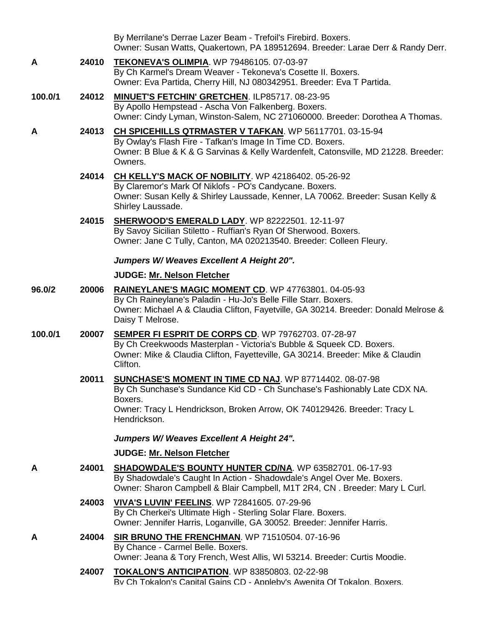|         |       | By Merrilane's Derrae Lazer Beam - Trefoil's Firebird. Boxers.<br>Owner: Susan Watts, Quakertown, PA 189512694. Breeder: Larae Derr & Randy Derr.                                                                                                  |
|---------|-------|----------------------------------------------------------------------------------------------------------------------------------------------------------------------------------------------------------------------------------------------------|
| A       | 24010 | <b>TEKONEVA'S OLIMPIA. WP 79486105. 07-03-97</b><br>By Ch Karmel's Dream Weaver - Tekoneva's Cosette II. Boxers.<br>Owner: Eva Partida, Cherry Hill, NJ 080342951. Breeder: Eva T Partida.                                                         |
| 100.0/1 | 24012 | <b>MINUET'S FETCHIN' GRETCHEN. ILP85717. 08-23-95</b><br>By Apollo Hempstead - Ascha Von Falkenberg. Boxers.<br>Owner: Cindy Lyman, Winston-Salem, NC 271060000. Breeder: Dorothea A Thomas.                                                       |
| A       | 24013 | CH SPICEHILLS QTRMASTER V TAFKAN. WP 56117701. 03-15-94<br>By Owlay's Flash Fire - Tafkan's Image In Time CD. Boxers.<br>Owner: B Blue & K & G Sarvinas & Kelly Wardenfelt, Catonsville, MD 21228. Breeder:<br>Owners.                             |
|         | 24014 | CH KELLY'S MACK OF NOBILITY. WP 42186402. 05-26-92<br>By Claremor's Mark Of Niklofs - PO's Candycane. Boxers.<br>Owner: Susan Kelly & Shirley Laussade, Kenner, LA 70062. Breeder: Susan Kelly &<br>Shirley Laussade.                              |
|         | 24015 | SHERWOOD'S EMERALD LADY. WP 82222501. 12-11-97<br>By Savoy Sicilian Stiletto - Ruffian's Ryan Of Sherwood. Boxers.<br>Owner: Jane C Tully, Canton, MA 020213540. Breeder: Colleen Fleury.                                                          |
|         |       | Jumpers W/Weaves Excellent A Height 20".                                                                                                                                                                                                           |
|         |       | JUDGE: Mr. Nelson Fletcher                                                                                                                                                                                                                         |
| 96.0/2  | 20006 | RAINEYLANE'S MAGIC MOMENT CD. WP 47763801. 04-05-93<br>By Ch Raineylane's Paladin - Hu-Jo's Belle Fille Starr. Boxers.<br>Owner: Michael A & Claudia Clifton, Fayetville, GA 30214. Breeder: Donald Melrose &<br>Daisy T Melrose.                  |
| 100.0/1 | 20007 | SEMPER FI ESPRIT DE CORPS CD. WP 79762703. 07-28-97<br>By Ch Creekwoods Masterplan - Victoria's Bubble & Squeek CD. Boxers.<br>Owner: Mike & Claudia Clifton, Fayetteville, GA 30214. Breeder: Mike & Claudin<br>Clifton.                          |
|         | 20011 | <b>SUNCHASE'S MOMENT IN TIME CD NAJ.</b> WP 87714402. 08-07-98<br>By Ch Sunchase's Sundance Kid CD - Ch Sunchase's Fashionably Late CDX NA.<br>Boxers.<br>Owner: Tracy L Hendrickson, Broken Arrow, OK 740129426. Breeder: Tracy L<br>Hendrickson. |
|         |       | Jumpers W/Weaves Excellent A Height 24".                                                                                                                                                                                                           |
|         |       | JUDGE: Mr. Nelson Fletcher                                                                                                                                                                                                                         |
| A       | 24001 | SHADOWDALE'S BOUNTY HUNTER CD/NA. WP 63582701. 06-17-93<br>By Shadowdale's Caught In Action - Shadowdale's Angel Over Me. Boxers.<br>Owner: Sharon Campbell & Blair Campbell, M1T 2R4, CN. Breeder: Mary L Curl.                                   |
|         | 24003 | <b>VIVA'S LUVIN' FEELINS. WP 72841605. 07-29-96</b><br>By Ch Cherkei's Ultimate High - Sterling Solar Flare. Boxers.<br>Owner: Jennifer Harris, Loganville, GA 30052. Breeder: Jennifer Harris.                                                    |
| Α       | 24004 | SIR BRUNO THE FRENCHMAN. WP 71510504. 07-16-96<br>By Chance - Carmel Belle. Boxers.<br>Owner: Jeana & Tory French, West Allis, WI 53214. Breeder: Curtis Moodie.                                                                                   |
|         | 24007 | <b>TOKALON'S ANTICIPATION.</b> WP 83850803. 02-22-98<br>By Ch Tokalon's Capital Gains CD - Appleby's Awenita Of Tokalon, Boxers.                                                                                                                   |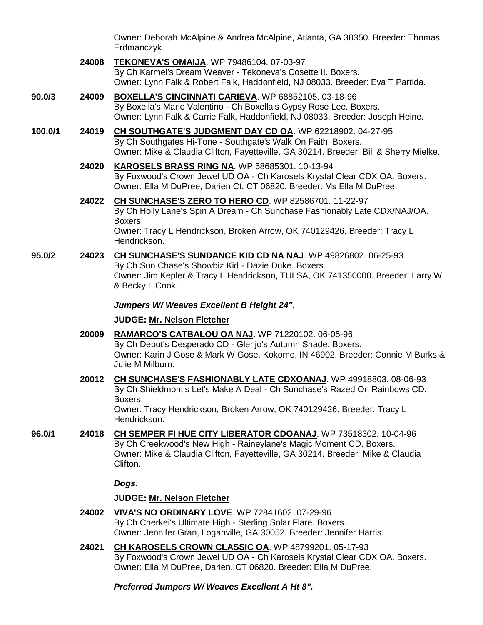Owner: Deborah McAlpine & Andrea McAlpine, Atlanta, GA 30350. Breeder: Thomas Erdmanczyk.

- **24008 [TEKONEVA'S OMAIJA](http://www.infodog.com/my/drlookup2.htm?makc=WP%2079486104&mdog=Tekoneva%27s+Omaija&wins=all)**. WP 79486104. 07-03-97 By Ch Karmel's Dream Weaver - Tekoneva's Cosette II. Boxers. Owner: Lynn Falk & Robert Falk, Haddonfield, NJ 08033. Breeder: Eva T Partida.
- **90.0/3 24009 [BOXELLA'S CINCINNATI CARIEVA](http://www.infodog.com/my/drlookup2.htm?makc=WP%2068852105&mdog=Boxella%27s+Cincinnati+Carieva&wins=all)**. WP 68852105. 03-18-96 By Boxella's Mario Valentino - Ch Boxella's Gypsy Rose Lee. Boxers. Owner: Lynn Falk & Carrie Falk, Haddonfield, NJ 08033. Breeder: Joseph Heine.
- **100.0/1 24019 CH [SOUTHGATE'S JUDGMENT DAY CD OA](http://www.infodog.com/my/drlookup2.htm?makc=WP%2062218902&mdog=Ch+Southgate%27s+Judgment+Day+CD+OA&wins=all)**. WP 62218902. 04-27-95 By Ch Southgates Hi-Tone - Southgate's Walk On Faith. Boxers. Owner: Mike & Claudia Clifton, Fayetteville, GA 30214. Breeder: Bill & Sherry Mielke.
	- **24020 [KAROSELS BRASS RING NA](http://www.infodog.com/my/drlookup2.htm?makc=WP%2058685301&mdog=Karosels+Brass+Ring+NA&wins=all)**. WP 58685301. 10-13-94 By Foxwood's Crown Jewel UD OA - Ch Karosels Krystal Clear CDX OA. Boxers. Owner: Ella M DuPree, Darien Ct, CT 06820. Breeder: Ms Ella M DuPree.
	- **24022 [CH SUNCHASE'S ZERO TO HERO CD](http://www.infodog.com/my/drlookup2.htm?makc=WP%2082586701&mdog=Ch+Sunchase%27s+Zero+To+Hero+CD&wins=all)**. WP 82586701. 11-22-97 By Ch Holly Lane's Spin A Dream - Ch Sunchase Fashionably Late CDX/NAJ/OA. Boxers. Owner: Tracy L Hendrickson, Broken Arrow, OK 740129426. Breeder: Tracy L Hendrickson.
- **95.0/2 24023 [CH SUNCHASE'S SUNDANCE KID CD NA NAJ](http://www.infodog.com/my/drlookup2.htm?makc=WP%2049826802&mdog=Ch+Sunchase%27s+Sundance+Kid+CD+NA+NAJ&wins=all)**. WP 49826802. 06-25-93 By Ch Sun Chase's Showbiz Kid - Dazie Duke. Boxers. Owner: Jim Kepler & Tracy L Hendrickson, TULSA, OK 741350000. Breeder: Larry W & Becky L Cook.

## *Jumpers W/ Weaves Excellent B Height 24".*

## **JUDGE: [Mr. Nelson Fletcher](http://www.infodog.com/show/judge/jdgprofile.htm?jn=9014)**

- **20009 [RAMARCO'S CATBALOU OA NAJ](http://www.infodog.com/my/drlookup2.htm?makc=WP%2071220102&mdog=Ramarco%27s+Catbalou+OA+NAJ&wins=all)**. WP 71220102. 06-05-96 By Ch Debut's Desperado CD - Glenjo's Autumn Shade. Boxers. Owner: Karin J Gose & Mark W Gose, Kokomo, IN 46902. Breeder: Connie M Burks & Julie M Milburn.
- **20012 [CH SUNCHASE'S FASHIONABLY LATE CDXOANAJ](http://www.infodog.com/my/drlookup2.htm?makc=WP%2049918803&mdog=Ch+Sunchase%27s+Fashionably+Late+CDXOANAJ&wins=all)**. WP 49918803. 08-06-93 By Ch Shieldmont's Let's Make A Deal - Ch Sunchase's Razed On Rainbows CD. Boxers. Owner: Tracy Hendrickson, Broken Arrow, OK 740129426. Breeder: Tracy L Hendrickson.
- **96.0/1 24018 [CH SEMPER FI HUE CITY LIBERATOR CDOANAJ](http://www.infodog.com/my/drlookup2.htm?makc=WP%2073518302&mdog=Ch+Semper+Fi+Hue+City+Liberator+CDOANAJ&wins=all)**. WP 73518302. 10-04-96 By Ch Creekwood's New High - Raineylane's Magic Moment CD. Boxers. Owner: Mike & Claudia Clifton, Fayetteville, GA 30214. Breeder: Mike & Claudia Clifton.

## *Dogs.*

# **JUDGE: [Mr. Nelson Fletcher](http://www.infodog.com/show/judge/jdgprofile.htm?jn=9014)**

- **24002 [VIVA'S NO ORDINARY LOVE](http://www.infodog.com/my/drlookup2.htm?makc=WP%2072841602&mdog=Viva%27s+No+Ordinary+Love&wins=all)**. WP 72841602. 07-29-96 By Ch Cherkei's Ultimate High - Sterling Solar Flare. Boxers. Owner: Jennifer Gran, Loganville, GA 30052. Breeder: Jennifer Harris.
- **24021 [CH KAROSELS CROWN CLASSIC OA](http://www.infodog.com/my/drlookup2.htm?makc=WP%2048799201&mdog=Ch+Karosels+Crown+Classic+OA&wins=all)**. WP 48799201. 05-17-93 By Foxwood's Crown Jewel UD OA - Ch Karosels Krystal Clear CDX OA. Boxers. Owner: Ella M DuPree, Darien, CT 06820. Breeder: Ella M DuPree.

*Preferred Jumpers W/ Weaves Excellent A Ht 8".*